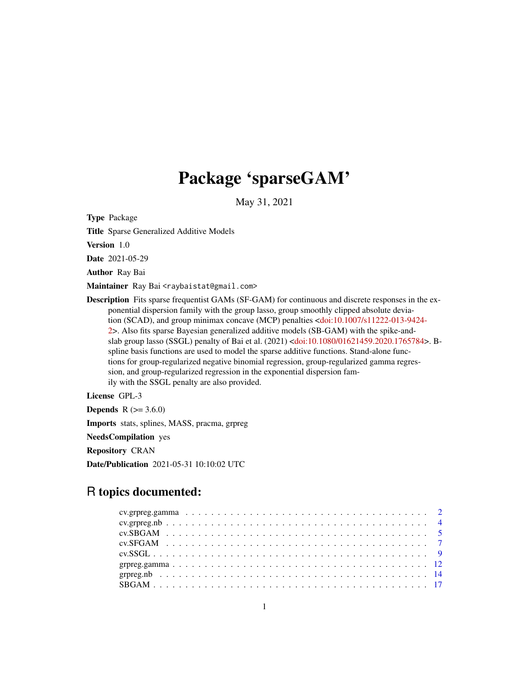# Package 'sparseGAM'

May 31, 2021

Type Package

Title Sparse Generalized Additive Models

Version 1.0

Date 2021-05-29

Author Ray Bai

Maintainer Ray Bai <raybaistat@gmail.com>

Description Fits sparse frequentist GAMs (SF-GAM) for continuous and discrete responses in the exponential dispersion family with the group lasso, group smoothly clipped absolute deviation (SCAD), and group minimax concave (MCP) penalties [<doi:10.1007/s11222-013-9424-](https://doi.org/10.1007/s11222-013-9424-2) [2>](https://doi.org/10.1007/s11222-013-9424-2). Also fits sparse Bayesian generalized additive models (SB-GAM) with the spike-andslab group lasso (SSGL) penalty of Bai et al. (2021) [<doi:10.1080/01621459.2020.1765784>](https://doi.org/10.1080/01621459.2020.1765784). Bspline basis functions are used to model the sparse additive functions. Stand-alone functions for group-regularized negative binomial regression, group-regularized gamma regression, and group-regularized regression in the exponential dispersion family with the SSGL penalty are also provided.

License GPL-3

**Depends** R  $(>= 3.6.0)$ 

Imports stats, splines, MASS, pracma, grpreg

NeedsCompilation yes

Repository CRAN

Date/Publication 2021-05-31 10:10:02 UTC

# R topics documented: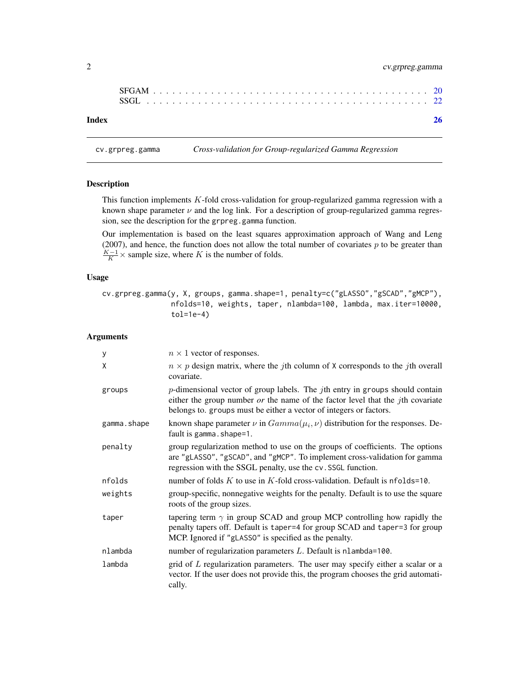# <span id="page-1-0"></span>2 cv.grpreg.gamma

| Index |  |  |  |  |  |  |  |  |  |  |  |  |  |  |  |  |  |  |  |
|-------|--|--|--|--|--|--|--|--|--|--|--|--|--|--|--|--|--|--|--|

cv.grpreg.gamma *Cross-validation for Group-regularized Gamma Regression*

#### Description

This function implements  $K$ -fold cross-validation for group-regularized gamma regression with a known shape parameter  $\nu$  and the log link. For a description of group-regularized gamma regression, see the description for the grpreg.gamma function.

Our implementation is based on the least squares approximation approach of Wang and Leng (2007), and hence, the function does not allow the total number of covariates  $p$  to be greater than  $\frac{K-1}{K}$  × sample size, where K is the number of folds.

#### Usage

cv.grpreg.gamma(y, X, groups, gamma.shape=1, penalty=c("gLASSO","gSCAD","gMCP"), nfolds=10, weights, taper, nlambda=100, lambda, max.iter=10000,  $tol=1e-4)$ 

| y           | $n \times 1$ vector of responses.                                                                                                                                                                                                                         |
|-------------|-----------------------------------------------------------------------------------------------------------------------------------------------------------------------------------------------------------------------------------------------------------|
| X           | $n \times p$ design matrix, where the <i>j</i> th column of X corresponds to the <i>j</i> th overall<br>covariate.                                                                                                                                        |
| groups      | $p$ -dimensional vector of group labels. The <i>j</i> th entry in groups should contain<br>either the group number $or$ the name of the factor level that the <i>j</i> th covariate<br>belongs to. groups must be either a vector of integers or factors. |
| gamma.shape | known shape parameter $\nu$ in $Gamma(\mu_i, \nu)$ distribution for the responses. De-<br>fault is gamma.shape=1.                                                                                                                                         |
| penalty     | group regularization method to use on the groups of coefficients. The options<br>are "gLASSO", "gSCAD", and "gMCP". To implement cross-validation for gamma<br>regression with the SSGL penalty, use the cv. SSGL function.                               |
| nfolds      | number of folds $K$ to use in $K$ -fold cross-validation. Default is nfolds=10.                                                                                                                                                                           |
| weights     | group-specific, nonnegative weights for the penalty. Default is to use the square<br>roots of the group sizes.                                                                                                                                            |
| taper       | tapering term $\gamma$ in group SCAD and group MCP controlling how rapidly the<br>penalty tapers off. Default is taper=4 for group SCAD and taper=3 for group<br>MCP. Ignored if "gLASSO" is specified as the penalty.                                    |
| nlambda     | number of regularization parameters $L$ . Default is nlambda=100.                                                                                                                                                                                         |
| lambda      | grid of $L$ regularization parameters. The user may specify either a scalar or a<br>vector. If the user does not provide this, the program chooses the grid automati-<br>cally.                                                                           |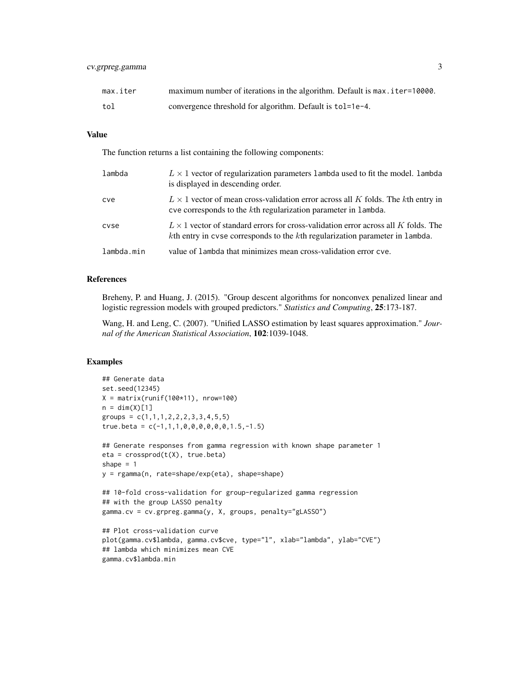| max.iter | maximum number of iterations in the algorithm. Default is max. iter=10000. |
|----------|----------------------------------------------------------------------------|
| tol      | convergence threshold for algorithm. Default is tol=1e-4.                  |

#### Value

The function returns a list containing the following components:

| lambda     | $L \times 1$ vector of regularization parameters 1 ambda used to fit the model. 1 ambda<br>is displayed in descending order.                                                 |
|------------|------------------------------------------------------------------------------------------------------------------------------------------------------------------------------|
| cve        | $L \times 1$ vector of mean cross-validation error across all K folds. The kth entry in<br>cve corresponds to the kth regularization parameter in lambda.                    |
| cyse       | $L \times 1$ vector of standard errors for cross-validation error across all K folds. The<br>kth entry in cyse corresponds to the kth regularization parameter in $l$ ambda. |
| lambda.min | value of lambda that minimizes mean cross-validation error cve.                                                                                                              |

#### References

Breheny, P. and Huang, J. (2015). "Group descent algorithms for nonconvex penalized linear and logistic regression models with grouped predictors." *Statistics and Computing*, 25:173-187.

Wang, H. and Leng, C. (2007). "Unified LASSO estimation by least squares approximation." *Journal of the American Statistical Association*, 102:1039-1048.

```
## Generate data
set.seed(12345)
X = matrix(runit(100*11), nrow=100)n = dim(X)[1]groups = c(1,1,1,2,2,2,3,3,4,5,5)true.beta = c(-1,1,1,0,0,0,0,0,0,1.5,-1.5)## Generate responses from gamma regression with known shape parameter 1
eta = crossprod(t(X), true. beta)shape = 1y = rgamma(n, rate=shape/exp(eta), shape=shape)
## 10-fold cross-validation for group-regularized gamma regression
## with the group LASSO penalty
gamma.cv = cv.grpreg.gamma(y, X, groups, penalty="gLASSO")
## Plot cross-validation curve
plot(gamma.cv$lambda, gamma.cv$cve, type="l", xlab="lambda", ylab="CVE")
## lambda which minimizes mean CVE
gamma.cv$lambda.min
```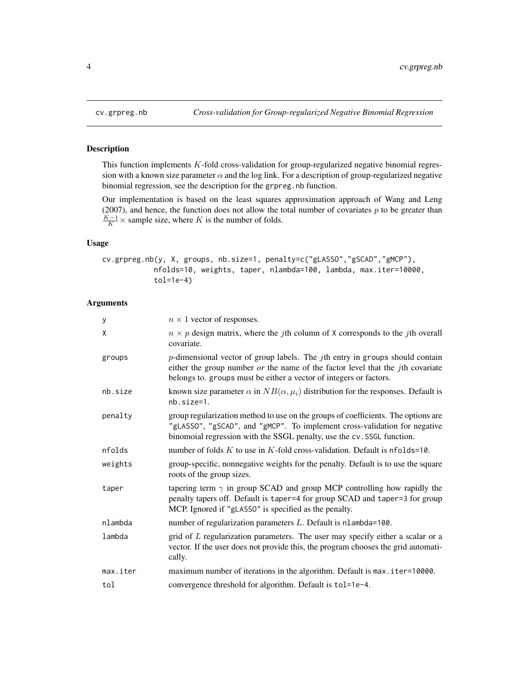<span id="page-3-0"></span>

#### Description

This function implements  $K$ -fold cross-validation for group-regularized negative binomial regression with a known size parameter  $\alpha$  and the log link. For a description of group-regularized negative binomial regression, see the description for the grpreg.nb function.

Our implementation is based on the least squares approximation approach of Wang and Leng (2007), and hence, the function does not allow the total number of covariates  $p$  to be greater than  $\frac{K-1}{K}$  × sample size, where K is the number of folds.

#### Usage

cv.grpreg.nb(y, X, groups, nb.size=1, penalty=c("gLASSO","gSCAD","gMCP"), nfolds=10, weights, taper, nlambda=100, lambda, max.iter=10000,  $tol=1e-4)$ 

| y        | $n \times 1$ vector of responses.                                                                                                                                                                                                                         |
|----------|-----------------------------------------------------------------------------------------------------------------------------------------------------------------------------------------------------------------------------------------------------------|
| X        | $n \times p$ design matrix, where the <i>j</i> th column of X corresponds to the <i>j</i> th overall<br>covariate.                                                                                                                                        |
| groups   | $p$ -dimensional vector of group labels. The <i>j</i> th entry in groups should contain<br>either the group number $or$ the name of the factor level that the <i>j</i> th covariate<br>belongs to. groups must be either a vector of integers or factors. |
| nb.size  | known size parameter $\alpha$ in $NB(\alpha, \mu_i)$ distribution for the responses. Default is<br>nb.size=1.                                                                                                                                             |
| penalty  | group regularization method to use on the groups of coefficients. The options are<br>"gLASSO", "gSCAD", and "gMCP". To implement cross-validation for negative<br>binomoial regression with the SSGL penalty, use the cv. SSGL function.                  |
| nfolds   | number of folds K to use in K-fold cross-validation. Default is nfolds=10.                                                                                                                                                                                |
| weights  | group-specific, nonnegative weights for the penalty. Default is to use the square<br>roots of the group sizes.                                                                                                                                            |
| taper    | tapering term $\gamma$ in group SCAD and group MCP controlling how rapidly the<br>penalty tapers off. Default is taper=4 for group SCAD and taper=3 for group<br>MCP. Ignored if "gLASSO" is specified as the penalty.                                    |
| nlambda  | number of regularization parameters $L$ . Default is nlambda=100.                                                                                                                                                                                         |
| lambda   | grid of $L$ regularization parameters. The user may specify either a scalar or a<br>vector. If the user does not provide this, the program chooses the grid automati-<br>cally.                                                                           |
| max.iter | maximum number of iterations in the algorithm. Default is max.iter=10000.                                                                                                                                                                                 |
| tol      | convergence threshold for algorithm. Default is tol=1e-4.                                                                                                                                                                                                 |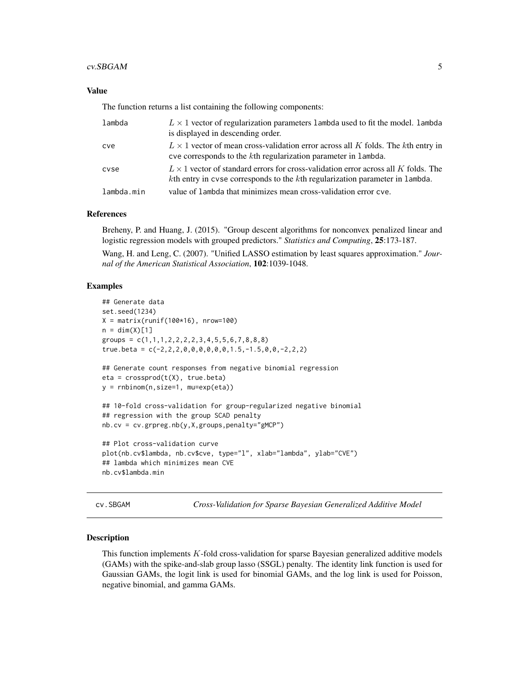#### <span id="page-4-0"></span>cv.SBGAM 5

#### Value

The function returns a list containing the following components:

| lambda     | $L \times 1$ vector of regularization parameters 1 ambda used to fit the model. 1 ambda<br>is displayed in descending order.                                                 |
|------------|------------------------------------------------------------------------------------------------------------------------------------------------------------------------------|
| cve        | $L \times 1$ vector of mean cross-validation error across all K folds. The kth entry in<br>cve corresponds to the $k$ th regularization parameter in $l$ ambda.              |
| cyse       | $L \times 1$ vector of standard errors for cross-validation error across all K folds. The<br>kth entry in cvse corresponds to the $k$ th regularization parameter in lambda. |
| lambda.min | value of lambda that minimizes mean cross-validation error cye.                                                                                                              |

#### References

Breheny, P. and Huang, J. (2015). "Group descent algorithms for nonconvex penalized linear and logistic regression models with grouped predictors." *Statistics and Computing*, 25:173-187.

Wang, H. and Leng, C. (2007). "Unified LASSO estimation by least squares approximation." *Journal of the American Statistical Association*, 102:1039-1048.

#### Examples

```
## Generate data
set.seed(1234)
X = matrix(runit(100*16), nrow=100)n = \dim(X)[1]groups = c(1,1,1,2,2,2,2,3,4,5,5,6,7,8,8,8)true.beta = c(-2, 2, 2, 0, 0, 0, 0, 0, 0, 1.5, -1.5, 0, 0, -2, 2, 2)## Generate count responses from negative binomial regression
eta = crossprod(t(X), true. beta)y = rnbinom(n,size=1, mu=exp(eta))
## 10-fold cross-validation for group-regularized negative binomial
## regression with the group SCAD penalty
nbcv = cv.grpreg.nb(y, X, groups, penalty="gMCP")## Plot cross-validation curve
plot(nb.cv$lambda, nb.cv$cve, type="l", xlab="lambda", ylab="CVE")
## lambda which minimizes mean CVE
nb.cv$lambda.min
```
cv.SBGAM *Cross-Validation for Sparse Bayesian Generalized Additive Model*

#### Description

This function implements K-fold cross-validation for sparse Bayesian generalized additive models (GAMs) with the spike-and-slab group lasso (SSGL) penalty. The identity link function is used for Gaussian GAMs, the logit link is used for binomial GAMs, and the log link is used for Poisson, negative binomial, and gamma GAMs.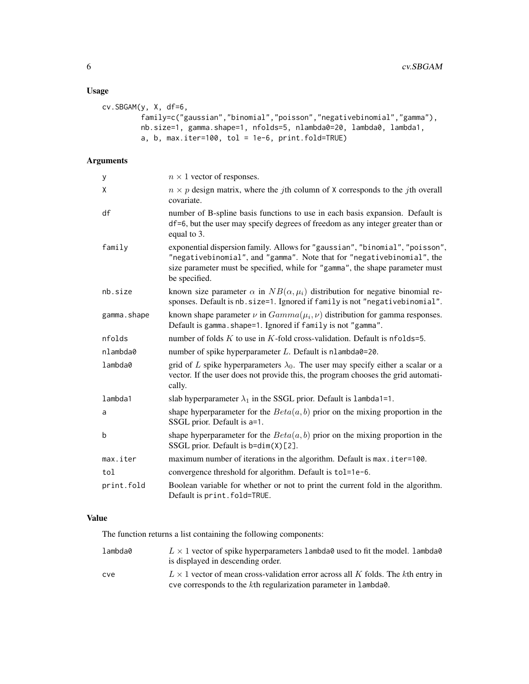# Usage

```
cv.SBGAM(y, X, df=6,
        family=c("gaussian","binomial","poisson","negativebinomial","gamma"),
         nb.size=1, gamma.shape=1, nfolds=5, nlambda0=20, lambda0, lambda1,
         a, b, max.iter=100, tol = 1e-6, print.fold=TRUE)
```
# Arguments

| У           | $n \times 1$ vector of responses.                                                                                                                                                                                                                        |
|-------------|----------------------------------------------------------------------------------------------------------------------------------------------------------------------------------------------------------------------------------------------------------|
| X           | $n \times p$ design matrix, where the <i>j</i> th column of X corresponds to the <i>j</i> th overall<br>covariate.                                                                                                                                       |
| df          | number of B-spline basis functions to use in each basis expansion. Default is<br>df=6, but the user may specify degrees of freedom as any integer greater than or<br>equal to 3.                                                                         |
| family      | exponential dispersion family. Allows for "gaussian", "binomial", "poisson",<br>"negativebinomial", and "gamma". Note that for "negativebinomial", the<br>size parameter must be specified, while for "gamma", the shape parameter must<br>be specified. |
| nb.size     | known size parameter $\alpha$ in $NB(\alpha, \mu_i)$ distribution for negative binomial re-<br>sponses. Default is nb. size=1. Ignored if family is not "negativebinomial".                                                                              |
| gamma.shape | known shape parameter $\nu$ in $Gamma(\mu_i, \nu)$ distribution for gamma responses.<br>Default is gamma.shape=1. Ignored if family is not "gamma".                                                                                                      |
| nfolds      | number of folds $K$ to use in $K$ -fold cross-validation. Default is nfolds=5.                                                                                                                                                                           |
| nlambda0    | number of spike hyperparameter $L$ . Default is nlambda0=20.                                                                                                                                                                                             |
| lambda0     | grid of L spike hyperparameters $\lambda_0$ . The user may specify either a scalar or a<br>vector. If the user does not provide this, the program chooses the grid automati-<br>cally.                                                                   |
| lambda1     | slab hyperparameter $\lambda_1$ in the SSGL prior. Default is 1ambda1=1.                                                                                                                                                                                 |
| a           | shape hyperparameter for the $Beta(a, b)$ prior on the mixing proportion in the<br>SSGL prior. Default is a=1.                                                                                                                                           |
| b           | shape hyperparameter for the $Beta(a, b)$ prior on the mixing proportion in the<br>SSGL prior. Default is $b = dim(X)[2]$ .                                                                                                                              |
| max.iter    | maximum number of iterations in the algorithm. Default is max. iter=100.                                                                                                                                                                                 |
| tol         | convergence threshold for algorithm. Default is tol=1e-6.                                                                                                                                                                                                |
| print.fold  | Boolean variable for whether or not to print the current fold in the algorithm.<br>Default is print.fold=TRUE.                                                                                                                                           |

# Value

The function returns a list containing the following components:

| lambda0 | $L \times 1$ vector of spike hyperparameters lambda0 used to fit the model. lambda0<br>is displayed in descending order. |
|---------|--------------------------------------------------------------------------------------------------------------------------|
| cve     | $L \times 1$ vector of mean cross-validation error across all K folds. The kth entry in                                  |
|         | cve corresponds to the $k$ th regularization parameter in $l$ ambda $\theta$ .                                           |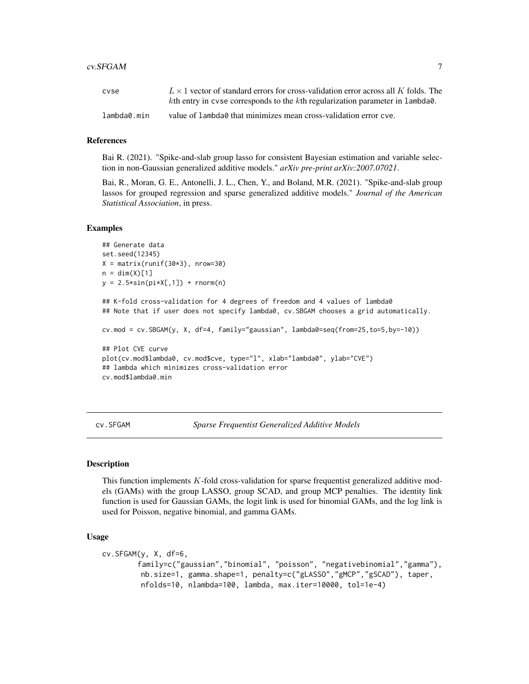#### <span id="page-6-0"></span>cv.SFGAM 7

| cvse        | $L \times 1$ vector of standard errors for cross-validation error across all K folds. The    |
|-------------|----------------------------------------------------------------------------------------------|
|             | $k$ th entry in cvse corresponds to the $k$ th regularization parameter in lambda $\theta$ . |
| lambda0.min | value of lambda0 that minimizes mean cross-validation error cve.                             |

#### References

Bai R. (2021). "Spike-and-slab group lasso for consistent Bayesian estimation and variable selection in non-Gaussian generalized additive models." *arXiv pre-print arXiv:2007.07021*.

Bai, R., Moran, G. E., Antonelli, J. L., Chen, Y., and Boland, M.R. (2021). "Spike-and-slab group lassos for grouped regression and sparse generalized additive models." *Journal of the American Statistical Association*, in press.

#### Examples

```
## Generate data
set.seed(12345)
X = matrix(runit(30*3), nrow=30)n = \dim(X)[1]y = 2.5*sin(pixX[,1]) + rnorm(n)## K-fold cross-validation for 4 degrees of freedom and 4 values of lambda0
## Note that if user does not specify lambda0, cv. SBGAM chooses a grid automatically.
cv.mod = cv.SBGAM(y, X, df=4, family="gaussian", lambda0=seq(from=25,to=5,by=-10))
## Plot CVE curve
plot(cv.mod$lambda0, cv.mod$cve, type="l", xlab="lambda0", ylab="CVE")
## lambda which minimizes cross-validation error
cv.mod$lambda0.min
```
cv.SFGAM *Sparse Frequentist Generalized Additive Models*

#### Description

This function implements K-fold cross-validation for sparse frequentist generalized additive models (GAMs) with the group LASSO, group SCAD, and group MCP penalties. The identity link function is used for Gaussian GAMs, the logit link is used for binomial GAMs, and the log link is used for Poisson, negative binomial, and gamma GAMs.

#### Usage

```
cv. SFGAM(v, X, df=6,
        family=c("gaussian","binomial", "poisson", "negativebinomial","gamma"),
         nb.size=1, gamma.shape=1, penalty=c("gLASSO","gMCP","gSCAD"), taper,
         nfolds=10, nlambda=100, lambda, max.iter=10000, tol=1e-4)
```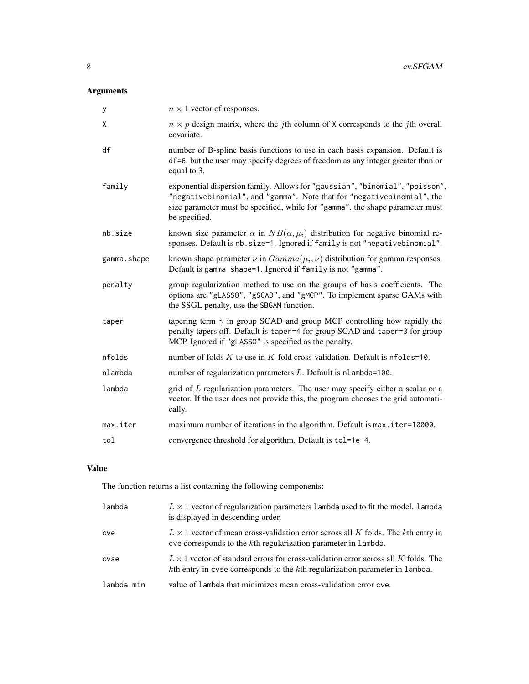# Arguments

| У           | $n \times 1$ vector of responses.                                                                                                                                                                                                                        |
|-------------|----------------------------------------------------------------------------------------------------------------------------------------------------------------------------------------------------------------------------------------------------------|
| X           | $n \times p$ design matrix, where the <i>j</i> th column of X corresponds to the <i>j</i> th overall<br>covariate.                                                                                                                                       |
| df          | number of B-spline basis functions to use in each basis expansion. Default is<br>df=6, but the user may specify degrees of freedom as any integer greater than or<br>equal to 3.                                                                         |
| family      | exponential dispersion family. Allows for "gaussian", "binomial", "poisson",<br>"negativebinomial", and "gamma". Note that for "negativebinomial", the<br>size parameter must be specified, while for "gamma", the shape parameter must<br>be specified. |
| nb.size     | known size parameter $\alpha$ in $NB(\alpha, \mu_i)$ distribution for negative binomial re-<br>sponses. Default is nb. size=1. Ignored if family is not "negativebinomial".                                                                              |
| gamma.shape | known shape parameter $\nu$ in $Gamma(\mu_i, \nu)$ distribution for gamma responses.<br>Default is gamma.shape=1. Ignored if family is not "gamma".                                                                                                      |
| penalty     | group regularization method to use on the groups of basis coefficients. The<br>options are "gLASSO", "gSCAD", and "gMCP". To implement sparse GAMs with<br>the SSGL penalty, use the SBGAM function.                                                     |
| taper       | tapering term $\gamma$ in group SCAD and group MCP controlling how rapidly the<br>penalty tapers off. Default is taper=4 for group SCAD and taper=3 for group<br>MCP. Ignored if "gLASSO" is specified as the penalty.                                   |
| nfolds      | number of folds $K$ to use in $K$ -fold cross-validation. Default is nfolds=10.                                                                                                                                                                          |
| nlambda     | number of regularization parameters $L$ . Default is nlambda=100.                                                                                                                                                                                        |
| lambda      | grid of $L$ regularization parameters. The user may specify either a scalar or a<br>vector. If the user does not provide this, the program chooses the grid automati-<br>cally.                                                                          |
| max.iter    | maximum number of iterations in the algorithm. Default is max.iter=10000.                                                                                                                                                                                |
| tol         | convergence threshold for algorithm. Default is tol=1e-4.                                                                                                                                                                                                |

# Value

The function returns a list containing the following components:

| lambda     | $L \times 1$ vector of regularization parameters 1 ambda used to fit the model. 1 ambda<br>is displayed in descending order.                                                 |
|------------|------------------------------------------------------------------------------------------------------------------------------------------------------------------------------|
| cve        | $L \times 1$ vector of mean cross-validation error across all K folds. The kth entry in<br>cve corresponds to the kth regularization parameter in lambda.                    |
| cyse       | $L \times 1$ vector of standard errors for cross-validation error across all K folds. The<br>kth entry in cyse corresponds to the kth regularization parameter in $l$ ambda. |
| lambda.min | value of lambda that minimizes mean cross-validation error cve.                                                                                                              |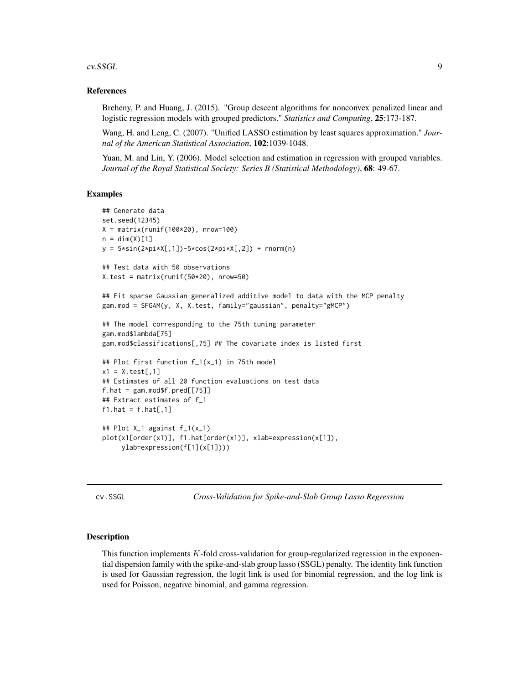<span id="page-8-0"></span>cv.SSGL 9

#### References

Breheny, P. and Huang, J. (2015). "Group descent algorithms for nonconvex penalized linear and logistic regression models with grouped predictors." *Statistics and Computing*, 25:173-187.

Wang, H. and Leng, C. (2007). "Unified LASSO estimation by least squares approximation." *Journal of the American Statistical Association*, 102:1039-1048.

Yuan, M. and Lin, Y. (2006). Model selection and estimation in regression with grouped variables. *Journal of the Royal Statistical Society: Series B (Statistical Methodology)*, 68: 49-67.

#### Examples

```
## Generate data
set.seed(12345)
X = matrix(runif(100*20), nrow=100)n = \dim(X)[1]y = 5*sin(2*pi*XL,1]) - 5*cos(2*pi*XL,2]) + rnorm(n)## Test data with 50 observations
X.test = matrix(runif(50*20), nrow=50)## Fit sparse Gaussian generalized additive model to data with the MCP penalty
gam.mod = SFGAM(y, X, X.test, family="gaussian", penalty="gMCP")
## The model corresponding to the 75th tuning parameter
gam.mod$lambda[75]
gam.mod$classifications[,75] ## The covariate index is listed first
## Plot first function f_1(x_1) in 75th model
x1 = X.test[, 1]## Estimates of all 20 function evaluations on test data
f.hat = gam.mod$f.pred[75]]
## Extract estimates of f_1
f1.hat = f.hat[, 1]## Plot X_1 against f_1(x_1)
plot(x1[order(x1)], f1.hat[order(x1)], xlab=expression(x[1]),
     ylab=expression(f[1](x[1])))
```
cv.SSGL *Cross-Validation for Spike-and-Slab Group Lasso Regression*

#### **Description**

This function implements  $K$ -fold cross-validation for group-regularized regression in the exponential dispersion family with the spike-and-slab group lasso (SSGL) penalty. The identity link function is used for Gaussian regression, the logit link is used for binomial regression, and the log link is used for Poisson, negative binomial, and gamma regression.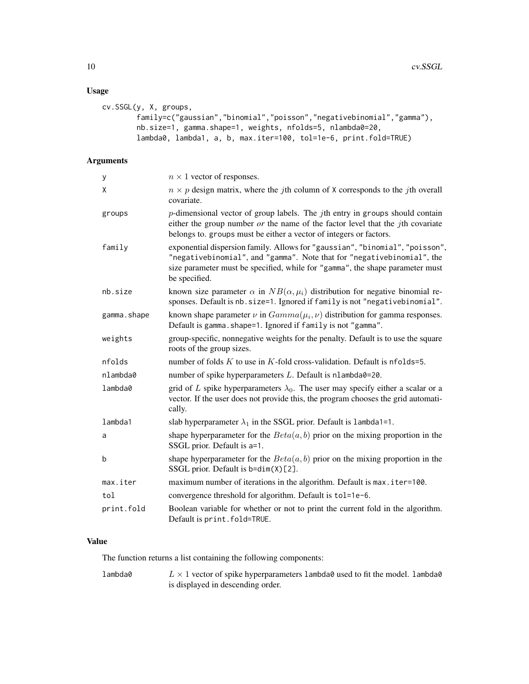# Usage

```
cv.SSGL(y, X, groups,
        family=c("gaussian","binomial","poisson","negativebinomial","gamma"),
        nb.size=1, gamma.shape=1, weights, nfolds=5, nlambda0=20,
        lambda0, lambda1, a, b, max.iter=100, tol=1e-6, print.fold=TRUE)
```
#### Arguments

| у           | $n \times 1$ vector of responses.                                                                                                                                                                                                                         |
|-------------|-----------------------------------------------------------------------------------------------------------------------------------------------------------------------------------------------------------------------------------------------------------|
| Χ           | $n \times p$ design matrix, where the <i>j</i> th column of X corresponds to the <i>j</i> th overall<br>covariate.                                                                                                                                        |
| groups      | $p$ -dimensional vector of group labels. The <i>j</i> th entry in groups should contain<br>either the group number $or$ the name of the factor level that the <i>j</i> th covariate<br>belongs to. groups must be either a vector of integers or factors. |
| family      | exponential dispersion family. Allows for "gaussian", "binomial", "poisson",<br>"negativebinomial", and "gamma". Note that for "negativebinomial", the<br>size parameter must be specified, while for "gamma", the shape parameter must<br>be specified.  |
| nb.size     | known size parameter $\alpha$ in $NB(\alpha, \mu_i)$ distribution for negative binomial re-<br>sponses. Default is nb. size=1. Ignored if family is not "negativebinomial".                                                                               |
| gamma.shape | known shape parameter $\nu$ in $Gamma(\mu_i, \nu)$ distribution for gamma responses.<br>Default is gamma.shape=1. Ignored if family is not "gamma".                                                                                                       |
| weights     | group-specific, nonnegative weights for the penalty. Default is to use the square<br>roots of the group sizes.                                                                                                                                            |
| nfolds      | number of folds $K$ to use in K-fold cross-validation. Default is nfolds=5.                                                                                                                                                                               |
| nlambda0    | number of spike hyperparameters $L$ . Default is nlambda0=20.                                                                                                                                                                                             |
| lambda0     | grid of L spike hyperparameters $\lambda_0$ . The user may specify either a scalar or a<br>vector. If the user does not provide this, the program chooses the grid automati-<br>cally.                                                                    |
| lambda1     | slab hyperparameter $\lambda_1$ in the SSGL prior. Default is 1ambda1=1.                                                                                                                                                                                  |
| a           | shape hyperparameter for the $Beta(a, b)$ prior on the mixing proportion in the<br>SSGL prior. Default is a=1.                                                                                                                                            |
| b           | shape hyperparameter for the $Beta(a, b)$ prior on the mixing proportion in the<br>SSGL prior. Default is $b = dim(X)[2]$ .                                                                                                                               |
| max.iter    | maximum number of iterations in the algorithm. Default is max. iter=100.                                                                                                                                                                                  |
| tol         | convergence threshold for algorithm. Default is tol=1e-6.                                                                                                                                                                                                 |
| print.fold  | Boolean variable for whether or not to print the current fold in the algorithm.<br>Default is print.fold=TRUE.                                                                                                                                            |
|             |                                                                                                                                                                                                                                                           |

# Value

The function returns a list containing the following components:

lambda0  $L \times 1$  vector of spike hyperparameters lambda0 used to fit the model. lambda0 is displayed in descending order.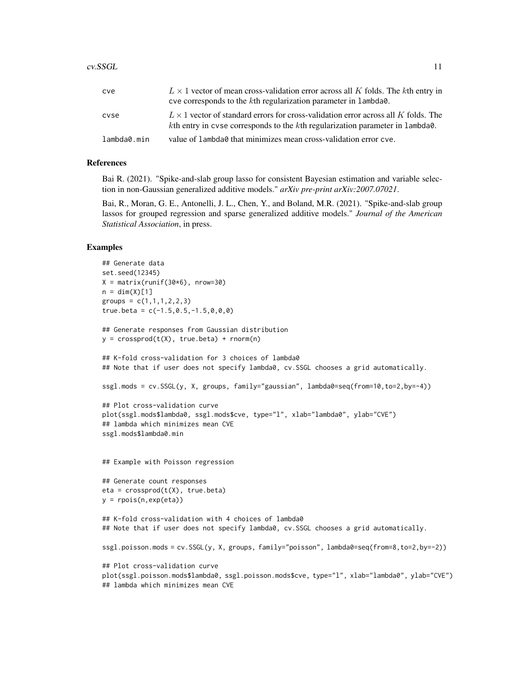| cve         | $L \times 1$ vector of mean cross-validation error across all K folds. The kth entry in<br>cve corresponds to the $k$ th regularization parameter in $l$ ambda0.                       |
|-------------|----------------------------------------------------------------------------------------------------------------------------------------------------------------------------------------|
| cyse        | $L \times 1$ vector of standard errors for cross-validation error across all K folds. The<br>kth entry in cyse corresponds to the kth regularization parameter in $l$ ambda $\theta$ . |
| lambda0.min | value of lambda0 that minimizes mean cross-validation error cve.                                                                                                                       |

#### References

Bai R. (2021). "Spike-and-slab group lasso for consistent Bayesian estimation and variable selection in non-Gaussian generalized additive models." *arXiv pre-print arXiv:2007.07021*.

Bai, R., Moran, G. E., Antonelli, J. L., Chen, Y., and Boland, M.R. (2021). "Spike-and-slab group lassos for grouped regression and sparse generalized additive models." *Journal of the American Statistical Association*, in press.

```
## Generate data
set.seed(12345)
X = matrix(runit(30*6), nrow=30)n = \dim(X)[1]groups = c(1, 1, 1, 2, 2, 3)true.beta = c(-1.5, 0.5, -1.5, 0, 0, 0)## Generate responses from Gaussian distribution
y = crossprod(t(X), true,beta) + rnorm(n)## K-fold cross-validation for 3 choices of lambda0
## Note that if user does not specify lambda0, cv.SSGL chooses a grid automatically.
ssgl.mods = cv.SSGL(y, X, groups, family="gaussian", lambda0=seq(from=10,to=2,by=-4))
## Plot cross-validation curve
plot(ssgl.mods$lambda0, ssgl.mods$cve, type="l", xlab="lambda0", ylab="CVE")
## lambda which minimizes mean CVE
ssgl.mods$lambda0.min
## Example with Poisson regression
## Generate count responses
eta = crossprod(t(X), true. beta)y = rpois(n,exp(eta))
## K-fold cross-validation with 4 choices of lambda0
## Note that if user does not specify lambda0, cv.SSGL chooses a grid automatically.
ssgl.poisson.mods = cv.SSGL(y, X, groups, family="poisson", lambda0=seq(from=8,to=2,by=-2))
## Plot cross-validation curve
plot(ssgl.poisson.mods$lambda0, ssgl.poisson.mods$cve, type="l", xlab="lambda0", ylab="CVE")
## lambda which minimizes mean CVE
```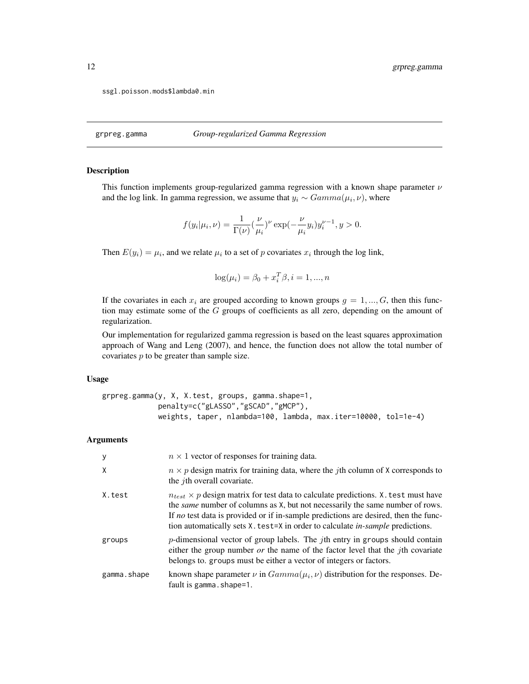<span id="page-11-0"></span>ssgl.poisson.mods\$lambda0.min

#### grpreg.gamma *Group-regularized Gamma Regression*

#### Description

This function implements group-regularized gamma regression with a known shape parameter  $\nu$ and the log link. In gamma regression, we assume that  $y_i \sim Gamma(\mu_i, \nu)$ , where

$$
f(y_i|\mu_i, \nu) = \frac{1}{\Gamma(\nu)} \left(\frac{\nu}{\mu_i}\right)^{\nu} \exp\left(-\frac{\nu}{\mu_i} y_i\right) y_i^{\nu - 1}, y > 0.
$$

Then  $E(y_i) = \mu_i$ , and we relate  $\mu_i$  to a set of p covariates  $x_i$  through the log link,

$$
\log(\mu_i) = \beta_0 + x_i^T \beta, i = 1, ..., n
$$

If the covariates in each  $x_i$  are grouped according to known groups  $g = 1, ..., G$ , then this function may estimate some of the  $G$  groups of coefficients as all zero, depending on the amount of regularization.

Our implementation for regularized gamma regression is based on the least squares approximation approach of Wang and Leng (2007), and hence, the function does not allow the total number of covariates  $p$  to be greater than sample size.

#### Usage

```
grpreg.gamma(y, X, X.test, groups, gamma.shape=1,
            penalty=c("gLASSO","gSCAD","gMCP"),
            weights, taper, nlambda=100, lambda, max.iter=10000, tol=1e-4)
```

| у           | $n \times 1$ vector of responses for training data.                                                                                                                                                                                                                                                                                                                 |
|-------------|---------------------------------------------------------------------------------------------------------------------------------------------------------------------------------------------------------------------------------------------------------------------------------------------------------------------------------------------------------------------|
| χ           | $n \times p$ design matrix for training data, where the <i>j</i> th column of X corresponds to<br>the <i>j</i> th overall covariate.                                                                                                                                                                                                                                |
| X.test      | $n_{test} \times p$ design matrix for test data to calculate predictions. X. test must have<br>the <i>same</i> number of columns as X, but not necessarily the same number of rows.<br>If no test data is provided or if in-sample predictions are desired, then the func-<br>tion automatically sets X. test=X in order to calculate <i>in-sample</i> predictions. |
| groups      | $p$ -dimensional vector of group labels. The <i>j</i> th entry in groups should contain<br>either the group number or the name of the factor level that the <i>j</i> th covariate<br>belongs to, groups must be either a vector of integers or factors.                                                                                                             |
| gamma.shape | known shape parameter $\nu$ in $Gamma(\mu_i, \nu)$ distribution for the responses. De-<br>fault is gamma.shape=1.                                                                                                                                                                                                                                                   |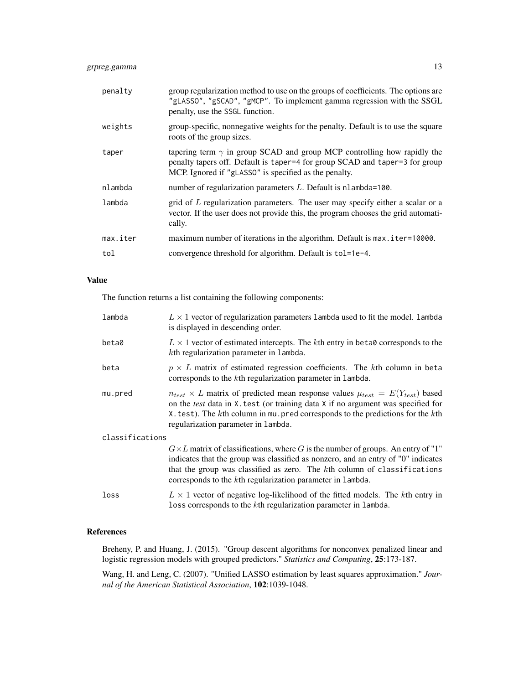| penalty  | group regularization method to use on the groups of coefficients. The options are<br>"gLASSO", "gSCAD", "gMCP". To implement gamma regression with the SSGL<br>penalty, use the SSGL function.                         |
|----------|------------------------------------------------------------------------------------------------------------------------------------------------------------------------------------------------------------------------|
| weights  | group-specific, nonnegative weights for the penalty. Default is to use the square<br>roots of the group sizes.                                                                                                         |
| taper    | tapering term $\gamma$ in group SCAD and group MCP controlling how rapidly the<br>penalty tapers off. Default is taper=4 for group SCAD and taper=3 for group<br>MCP. Ignored if "gLASSO" is specified as the penalty. |
| nlambda  | number of regularization parameters $L$ . Default is nlambda=100.                                                                                                                                                      |
| lambda   | grid of $L$ regularization parameters. The user may specify either a scalar or a<br>vector. If the user does not provide this, the program chooses the grid automati-<br>cally.                                        |
| max.iter | maximum number of iterations in the algorithm. Default is max. iter=10000.                                                                                                                                             |
| tol      | convergence threshold for algorithm. Default is tol=1e-4.                                                                                                                                                              |

### Value

The function returns a list containing the following components:

| lambda          | $L \times 1$ vector of regularization parameters 1 ambda used to fit the model. 1 ambda<br>is displayed in descending order.                                                                                                                                                                                           |
|-----------------|------------------------------------------------------------------------------------------------------------------------------------------------------------------------------------------------------------------------------------------------------------------------------------------------------------------------|
| beta0           | $L \times 1$ vector of estimated intercepts. The kth entry in beta0 corresponds to the<br>$k$ th regularization parameter in $l$ ambda.                                                                                                                                                                                |
| beta            | $p \times L$ matrix of estimated regression coefficients. The kth column in beta<br>corresponds to the kth regularization parameter in lambda.                                                                                                                                                                         |
| mu.pred         | $n_{test} \times L$ matrix of predicted mean response values $\mu_{test} = E(Y_{test})$ based<br>on the <i>test</i> data in X. test (or training data X if no argument was specified for<br>$X. test$ ). The kth column in mu. pred corresponds to the predictions for the kth<br>regularization parameter in lambda.  |
| classifications |                                                                                                                                                                                                                                                                                                                        |
|                 | $G\times L$ matrix of classifications, where G is the number of groups. An entry of "1"<br>indicates that the group was classified as nonzero, and an entry of "0" indicates<br>that the group was classified as zero. The kth column of classifications<br>corresponds to the kth regularization parameter in lambda. |
| loss            | $L \times 1$ vector of negative log-likelihood of the fitted models. The kth entry in<br>loss corresponds to the kth regularization parameter in lambda.                                                                                                                                                               |

#### References

Breheny, P. and Huang, J. (2015). "Group descent algorithms for nonconvex penalized linear and logistic regression models with grouped predictors." *Statistics and Computing*, 25:173-187.

Wang, H. and Leng, C. (2007). "Unified LASSO estimation by least squares approximation." *Journal of the American Statistical Association*, 102:1039-1048.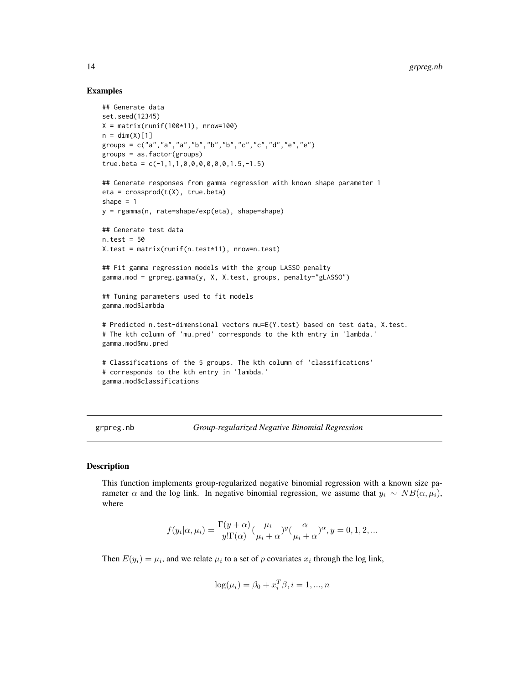#### Examples

```
## Generate data
set.seed(12345)
X = matrix(runit(100*11), nrow=100)n = dim(X)[1]groups = c("a","a","a","b","b","b","c","c","d","e","e")
groups = as.factor(groups)
true.beta = c(-1,1,1,0,0,0,0,0,0,1.5,-1.5)## Generate responses from gamma regression with known shape parameter 1
eta = crossprod(t(X), true. beta)shape = 1y = rgamma(n, rate=shape/exp(eta), shape=shape)
## Generate test data
n.test = 50X.test = matrix(runif(n.test*11), nrow=n.test)
## Fit gamma regression models with the group LASSO penalty
gamma.mod = grpreg.gamma(y, X, X.test, groups, penalty="gLASSO")
## Tuning parameters used to fit models
gamma.mod$lambda
# Predicted n.test-dimensional vectors mu=E(Y.test) based on test data, X.test.
# The kth column of 'mu.pred' corresponds to the kth entry in 'lambda.'
gamma.mod$mu.pred
# Classifications of the 5 groups. The kth column of 'classifications'
# corresponds to the kth entry in 'lambda.'
gamma.mod$classifications
```
grpreg.nb *Group-regularized Negative Binomial Regression*

#### Description

This function implements group-regularized negative binomial regression with a known size parameter  $\alpha$  and the log link. In negative binomial regression, we assume that  $y_i \sim NB(\alpha, \mu_i)$ , where

$$
f(y_i|\alpha, \mu_i) = \frac{\Gamma(y+\alpha)}{y!\Gamma(\alpha)} \left(\frac{\mu_i}{\mu_i + \alpha}\right)^y \left(\frac{\alpha}{\mu_i + \alpha}\right)^{\alpha}, y = 0, 1, 2, ...
$$

Then  $E(y_i) = \mu_i$ , and we relate  $\mu_i$  to a set of p covariates  $x_i$  through the log link,

$$
\log(\mu_i) = \beta_0 + x_i^T \beta, i = 1, ..., n
$$

<span id="page-13-0"></span>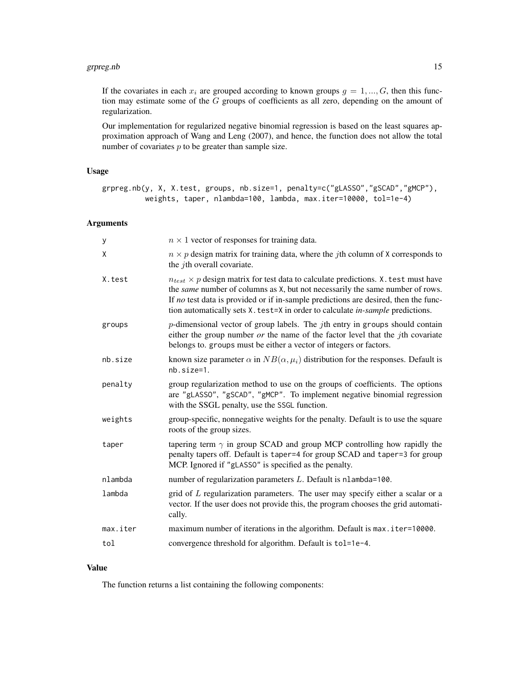#### grpreg.nb 15

If the covariates in each  $x_i$  are grouped according to known groups  $q = 1, ..., G$ , then this function may estimate some of the  $G$  groups of coefficients as all zero, depending on the amount of regularization.

Our implementation for regularized negative binomial regression is based on the least squares approximation approach of Wang and Leng (2007), and hence, the function does not allow the total number of covariates  $p$  to be greater than sample size.

#### Usage

```
grpreg.nb(y, X, X.test, groups, nb.size=1, penalty=c("gLASSO","gSCAD","gMCP"),
          weights, taper, nlambda=100, lambda, max.iter=10000, tol=1e-4)
```
#### Arguments

| У        | $n \times 1$ vector of responses for training data.                                                                                                                                                                                                                                                                                                          |
|----------|--------------------------------------------------------------------------------------------------------------------------------------------------------------------------------------------------------------------------------------------------------------------------------------------------------------------------------------------------------------|
| X        | $n \times p$ design matrix for training data, where the <i>j</i> th column of X corresponds to<br>the <i>j</i> th overall covariate.                                                                                                                                                                                                                         |
| X.test   | $n_{test} \times p$ design matrix for test data to calculate predictions. X. test must have<br>the same number of columns as X, but not necessarily the same number of rows.<br>If no test data is provided or if in-sample predictions are desired, then the func-<br>tion automatically sets X. test=X in order to calculate <i>in-sample</i> predictions. |
| groups   | $p$ -dimensional vector of group labels. The <i>j</i> th entry in groups should contain<br>either the group number $or$ the name of the factor level that the <i>j</i> th covariate<br>belongs to. groups must be either a vector of integers or factors.                                                                                                    |
| nb.size  | known size parameter $\alpha$ in $NB(\alpha, \mu_i)$ distribution for the responses. Default is<br>$nb.size = 1$ .                                                                                                                                                                                                                                           |
| penalty  | group regularization method to use on the groups of coefficients. The options<br>are "gLASSO", "gSCAD", "gMCP". To implement negative binomial regression<br>with the SSGL penalty, use the SSGL function.                                                                                                                                                   |
| weights  | group-specific, nonnegative weights for the penalty. Default is to use the square<br>roots of the group sizes.                                                                                                                                                                                                                                               |
| taper    | tapering term $\gamma$ in group SCAD and group MCP controlling how rapidly the<br>penalty tapers off. Default is taper=4 for group SCAD and taper=3 for group<br>MCP. Ignored if "gLASSO" is specified as the penalty.                                                                                                                                       |
| nlambda  | number of regularization parameters $L$ . Default is nlambda=100.                                                                                                                                                                                                                                                                                            |
| lambda   | grid of $L$ regularization parameters. The user may specify either a scalar or a<br>vector. If the user does not provide this, the program chooses the grid automati-<br>cally.                                                                                                                                                                              |
| max.iter | maximum number of iterations in the algorithm. Default is max.iter=10000.                                                                                                                                                                                                                                                                                    |
| tol      | convergence threshold for algorithm. Default is tol=1e-4.                                                                                                                                                                                                                                                                                                    |

#### Value

The function returns a list containing the following components: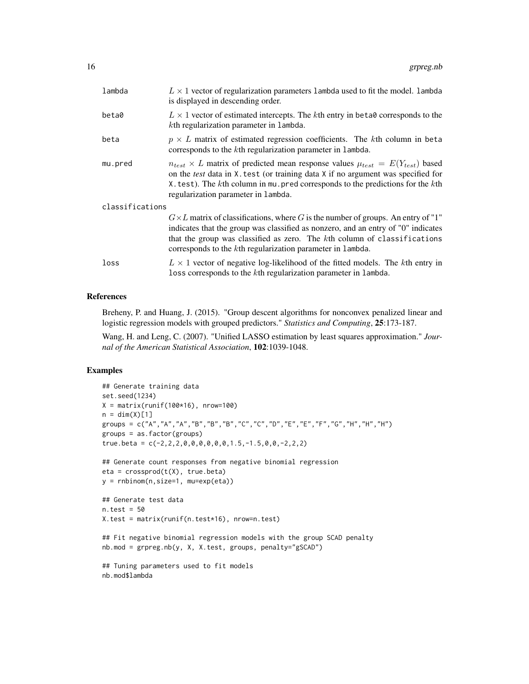| lambda          | $L \times 1$ vector of regularization parameters 1 ambda used to fit the model. 1 ambda<br>is displayed in descending order.                                                                                                                                                                                               |
|-----------------|----------------------------------------------------------------------------------------------------------------------------------------------------------------------------------------------------------------------------------------------------------------------------------------------------------------------------|
| beta0           | $L \times 1$ vector of estimated intercepts. The kth entry in beta0 corresponds to the<br>$k$ th regularization parameter in $l$ ambda.                                                                                                                                                                                    |
| beta            | $p \times L$ matrix of estimated regression coefficients. The kth column in beta<br>corresponds to the kth regularization parameter in lambda.                                                                                                                                                                             |
| mu.pred         | $n_{test} \times L$ matrix of predicted mean response values $\mu_{test} = E(Y_{test})$ based<br>on the <i>test</i> data in X. test (or training data X if no argument was specified for<br>$X.$ test). The $k$ th column in mu. pred corresponds to the predictions for the $k$ th<br>regularization parameter in lambda. |
| classifications |                                                                                                                                                                                                                                                                                                                            |
|                 | $G\times L$ matrix of classifications, where G is the number of groups. An entry of "1"<br>indicates that the group was classified as nonzero, and an entry of "0" indicates<br>that the group was classified as zero. The kth column of classifications<br>corresponds to the kth regularization parameter in lambda.     |
| loss            | $L \times 1$ vector of negative log-likelihood of the fitted models. The kth entry in<br>loss corresponds to the kth regularization parameter in lambda.                                                                                                                                                                   |

#### References

Breheny, P. and Huang, J. (2015). "Group descent algorithms for nonconvex penalized linear and logistic regression models with grouped predictors." *Statistics and Computing*, 25:173-187.

Wang, H. and Leng, C. (2007). "Unified LASSO estimation by least squares approximation." *Journal of the American Statistical Association*, 102:1039-1048.

```
## Generate training data
set.seed(1234)
X = matrix(runit(100*16), nrow=100)n = \dim(X)[1]groups = c("A","A","A","B","B","B","C","C","D","E","E","F","G","H","H","H")
groups = as.factor(groups)
true.beta = c(-2,2,2,0,0,0,0,0,0,1.5,-1.5,0,0,-2,2,2)
## Generate count responses from negative binomial regression
eta = crossprod(t(X), true. beta)y = rnbinom(n,size=1, mu=exp(eta))
## Generate test data
n.test = 50X.test = matrix(runif(n.test*16), nrow=n.test)
```

```
## Fit negative binomial regression models with the group SCAD penalty
nb.mod = grpreg.nb(y, X, X.test, groups, penalty="gSCAD")
```

```
## Tuning parameters used to fit models
nb.mod$lambda
```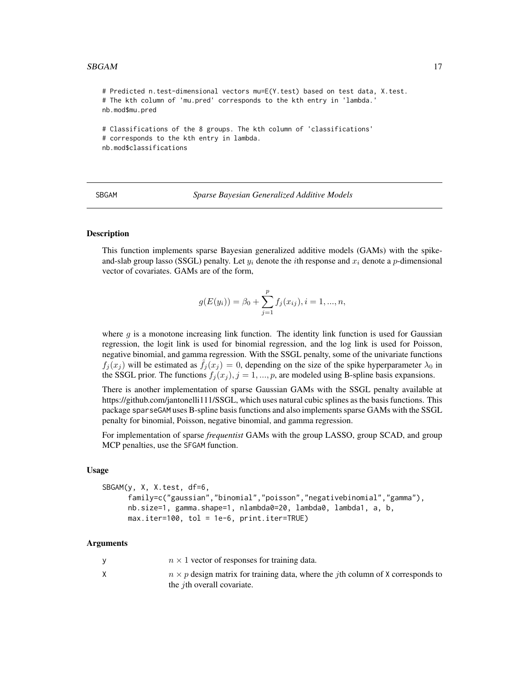#### <span id="page-16-0"></span> $SBGAM$  17

# Predicted n.test-dimensional vectors mu=E(Y.test) based on test data, X.test. # The kth column of 'mu.pred' corresponds to the kth entry in 'lambda.' nb.mod\$mu.pred # Classifications of the 8 groups. The kth column of 'classifications' # corresponds to the kth entry in lambda. nb.mod\$classifications

#### SBGAM *Sparse Bayesian Generalized Additive Models*

#### **Description**

This function implements sparse Bayesian generalized additive models (GAMs) with the spikeand-slab group lasso (SSGL) penalty. Let  $y_i$  denote the *i*th response and  $x_i$  denote a p-dimensional vector of covariates. GAMs are of the form,

$$
g(E(y_i)) = \beta_0 + \sum_{j=1}^p f_j(x_{ij}), i = 1, ..., n,
$$

where  $g$  is a monotone increasing link function. The identity link function is used for Gaussian regression, the logit link is used for binomial regression, and the log link is used for Poisson, negative binomial, and gamma regression. With the SSGL penalty, some of the univariate functions  $f_j(x_j)$  will be estimated as  $\hat{f}_j(x_j) = 0$ , depending on the size of the spike hyperparameter  $\lambda_0$  in the SSGL prior. The functions  $f_i(x_j)$ ,  $j = 1, ..., p$ , are modeled using B-spline basis expansions.

There is another implementation of sparse Gaussian GAMs with the SSGL penalty available at https://github.com/jantonelli111/SSGL, which uses natural cubic splines as the basis functions. This package sparseGAM uses B-spline basis functions and also implements sparse GAMs with the SSGL penalty for binomial, Poisson, negative binomial, and gamma regression.

For implementation of sparse *frequentist* GAMs with the group LASSO, group SCAD, and group MCP penalties, use the SFGAM function.

#### Usage

```
SBGAM(y, X, X.test, df=6,
     family=c("gaussian","binomial","poisson","negativebinomial","gamma"),
     nb.size=1, gamma.shape=1, nlambda0=20, lambda0, lambda1, a, b,
     max.iter=100, tol = 1e-6, print.iter=TRUE)
```

| $n \times 1$ vector of responses for training data.                                            |
|------------------------------------------------------------------------------------------------|
| $n \times p$ design matrix for training data, where the <i>j</i> th column of X corresponds to |
| the <i>i</i> th overall covariate.                                                             |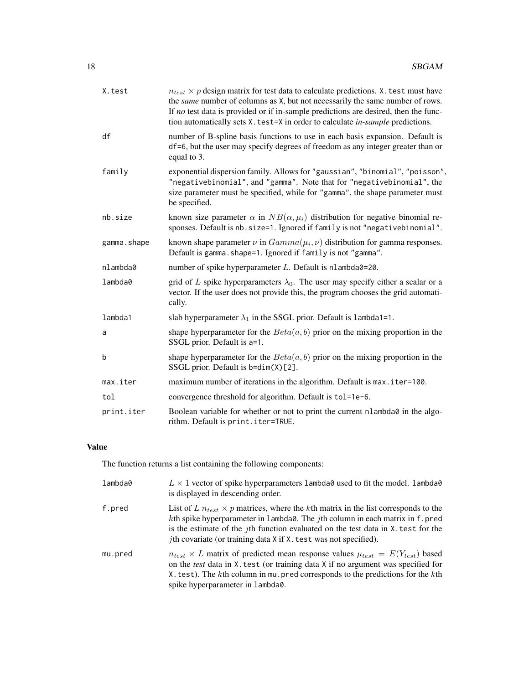| X.test      | $n_{test} \times p$ design matrix for test data to calculate predictions. X. test must have<br>the <i>same</i> number of columns as X, but not necessarily the same number of rows.<br>If no test data is provided or if in-sample predictions are desired, then the func-<br>tion automatically sets X. test=X in order to calculate <i>in-sample</i> predictions. |
|-------------|---------------------------------------------------------------------------------------------------------------------------------------------------------------------------------------------------------------------------------------------------------------------------------------------------------------------------------------------------------------------|
| df          | number of B-spline basis functions to use in each basis expansion. Default is<br>df=6, but the user may specify degrees of freedom as any integer greater than or<br>equal to 3.                                                                                                                                                                                    |
| family      | exponential dispersion family. Allows for "gaussian", "binomial", "poisson",<br>"negativebinomial", and "gamma". Note that for "negativebinomial", the<br>size parameter must be specified, while for "gamma", the shape parameter must<br>be specified.                                                                                                            |
| nb.size     | known size parameter $\alpha$ in $NB(\alpha, \mu_i)$ distribution for negative binomial re-<br>sponses. Default is nb. size=1. Ignored if family is not "negativebinomial".                                                                                                                                                                                         |
| gamma.shape | known shape parameter $\nu$ in $Gamma(\mu_i, \nu)$ distribution for gamma responses.<br>Default is gamma.shape=1. Ignored if family is not "gamma".                                                                                                                                                                                                                 |
| nlambda0    | number of spike hyperparameter $L$ . Default is nlambda0=20.                                                                                                                                                                                                                                                                                                        |
| lambda0     | grid of L spike hyperparameters $\lambda_0$ . The user may specify either a scalar or a<br>vector. If the user does not provide this, the program chooses the grid automati-<br>cally.                                                                                                                                                                              |
| lambda1     | slab hyperparameter $\lambda_1$ in the SSGL prior. Default is 1ambda1=1.                                                                                                                                                                                                                                                                                            |
| a           | shape hyperparameter for the $Beta(a, b)$ prior on the mixing proportion in the<br>SSGL prior. Default is a=1.                                                                                                                                                                                                                                                      |
| b           | shape hyperparameter for the $Beta(a, b)$ prior on the mixing proportion in the<br>SSGL prior. Default is b=dim(X)[2].                                                                                                                                                                                                                                              |
| max.iter    | maximum number of iterations in the algorithm. Default is max. iter=100.                                                                                                                                                                                                                                                                                            |
| tol         | convergence threshold for algorithm. Default is tol=1e-6.                                                                                                                                                                                                                                                                                                           |
| print.iter  | Boolean variable for whether or not to print the current nlambda0 in the algo-<br>rithm. Default is print. iter=TRUE.                                                                                                                                                                                                                                               |

# Value

The function returns a list containing the following components:

| lambda0 | $L \times 1$ vector of spike hyperparameters lambda0 used to fit the model. lambda0<br>is displayed in descending order.                                                                                                                                                                                                                                     |
|---------|--------------------------------------------------------------------------------------------------------------------------------------------------------------------------------------------------------------------------------------------------------------------------------------------------------------------------------------------------------------|
| f.pred  | List of L $n_{test} \times p$ matrices, where the kth matrix in the list corresponds to the<br>kth spike hyperparameter in lambda0. The jth column in each matrix in f. pred<br>is the estimate of the j <sup>th</sup> function evaluated on the test data in $X$ . test for the<br><i>j</i> th covariate (or training data X if X. test was not specified). |
| mu.pred | $n_{test} \times L$ matrix of predicted mean response values $\mu_{test} = E(Y_{test})$ based<br>on the <i>test</i> data in X. test (or training data X if no argument was specified for<br>X. test). The kth column in mu. pred corresponds to the predictions for the kth<br>spike hyperparameter in lambda0.                                              |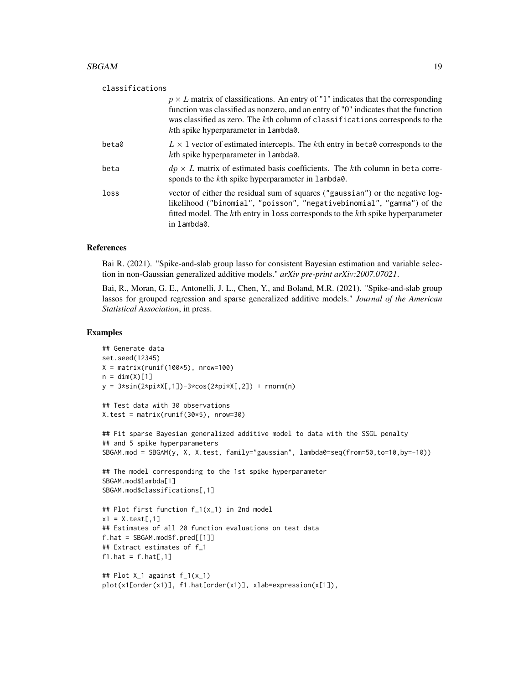#### $SBGAM$  19

| classifications |                                                                                                                                                                                                                                                                                                                   |
|-----------------|-------------------------------------------------------------------------------------------------------------------------------------------------------------------------------------------------------------------------------------------------------------------------------------------------------------------|
|                 | $p \times L$ matrix of classifications. An entry of "1" indicates that the corresponding<br>function was classified as nonzero, and an entry of "0" indicates that the function<br>was classified as zero. The kth column of classifications corresponds to the<br>$k$ th spike hyperparameter in $lmbda\theta$ . |
| beta0           | $L \times 1$ vector of estimated intercepts. The kth entry in beta0 corresponds to the<br>$k$ th spike hyperparameter in $l$ ambda $\theta$ .                                                                                                                                                                     |
| beta            | $dp \times L$ matrix of estimated basis coefficients. The kth column in beta corre-<br>sponds to the kth spike hyperparameter in lambda0.                                                                                                                                                                         |
| loss            | vector of either the residual sum of squares ("gaussian") or the negative log-<br>likelihood ("binomial", "poisson", "negativebinomial", "gamma") of the<br>fitted model. The kth entry in loss corresponds to the kth spike hyperparameter<br>in lambda0.                                                        |

#### References

Bai R. (2021). "Spike-and-slab group lasso for consistent Bayesian estimation and variable selection in non-Gaussian generalized additive models." *arXiv pre-print arXiv:2007.07021*.

Bai, R., Moran, G. E., Antonelli, J. L., Chen, Y., and Boland, M.R. (2021). "Spike-and-slab group lassos for grouped regression and sparse generalized additive models." *Journal of the American Statistical Association*, in press.

```
## Generate data
set.seed(12345)
X = matrix(runif(100*5), nrow=100)n = \dim(X)[1]y = 3*sin(2*pi*XL,1]) - 3*cos(2*pi*XL,2]) + rnorm(n)## Test data with 30 observations
X.test = matrix(runif(30*5), nrow=30)## Fit sparse Bayesian generalized additive model to data with the SSGL penalty
## and 5 spike hyperparameters
SBGAM.mod = SBGAM(y, X, X.test, family="gaussian", lambda0=seq(from=50,to=10,by=-10))
## The model corresponding to the 1st spike hyperparameter
SBGAM.mod$lambda[1]
SBGAM.mod$classifications[,1]
## Plot first function f_1(x_1) in 2nd model
x1 = X.test[, 1]## Estimates of all 20 function evaluations on test data
f.hat = SBGAM.mod$f.pred[[1]]
## Extract estimates of f_1
f1.hat = f.hat[, 1]## Plot X_1 against f_1(x_1)
plot(x1[order(x1)], f1.hat[order(x1)], xlab=expression(x[1]),
```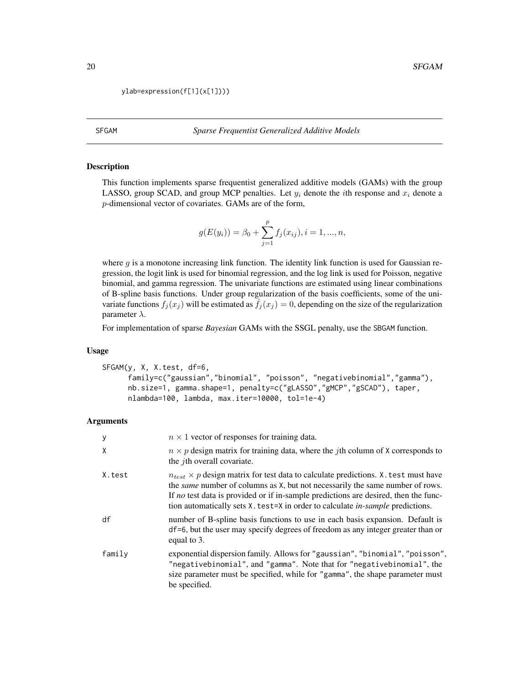```
ylab=expression(f[1](x[1])))
```
#### Description

This function implements sparse frequentist generalized additive models (GAMs) with the group LASSO, group SCAD, and group MCP penalties. Let  $y_i$  denote the *i*th response and  $x_i$  denote a p-dimensional vector of covariates. GAMs are of the form,

$$
g(E(y_i)) = \beta_0 + \sum_{j=1}^p f_j(x_{ij}), i = 1, ..., n,
$$

where  $g$  is a monotone increasing link function. The identity link function is used for Gaussian regression, the logit link is used for binomial regression, and the log link is used for Poisson, negative binomial, and gamma regression. The univariate functions are estimated using linear combinations of B-spline basis functions. Under group regularization of the basis coefficients, some of the univariate functions  $f_i(x_i)$  will be estimated as  $\hat{f}_i(x_i) = 0$ , depending on the size of the regularization parameter  $\lambda$ .

For implementation of sparse *Bayesian* GAMs with the SSGL penalty, use the SBGAM function.

#### Usage

```
SFGAM(y, X, X.test, df=6,
     family=c("gaussian","binomial", "poisson", "negativebinomial","gamma"),
     nb.size=1, gamma.shape=1, penalty=c("gLASSO","gMCP","gSCAD"), taper,
     nlambda=100, lambda, max.iter=10000, tol=1e-4)
```

| y      | $n \times 1$ vector of responses for training data.                                                                                                                                                                                                                                                                                                                 |
|--------|---------------------------------------------------------------------------------------------------------------------------------------------------------------------------------------------------------------------------------------------------------------------------------------------------------------------------------------------------------------------|
| X      | $n \times p$ design matrix for training data, where the <i>j</i> th column of X corresponds to<br>the <i>j</i> th overall covariate.                                                                                                                                                                                                                                |
| X.test | $n_{test} \times p$ design matrix for test data to calculate predictions. X. test must have<br>the <i>same</i> number of columns as X, but not necessarily the same number of rows.<br>If no test data is provided or if in-sample predictions are desired, then the func-<br>tion automatically sets X. test=X in order to calculate <i>in-sample</i> predictions. |
| df     | number of B-spline basis functions to use in each basis expansion. Default is<br>df=6, but the user may specify degrees of freedom as any integer greater than or<br>equal to 3.                                                                                                                                                                                    |
| family | exponential dispersion family. Allows for "gaussian", "binomial", "poisson",<br>"negativebinomial", and "gamma". Note that for "negativebinomial", the<br>size parameter must be specified, while for "gamma", the shape parameter must<br>be specified.                                                                                                            |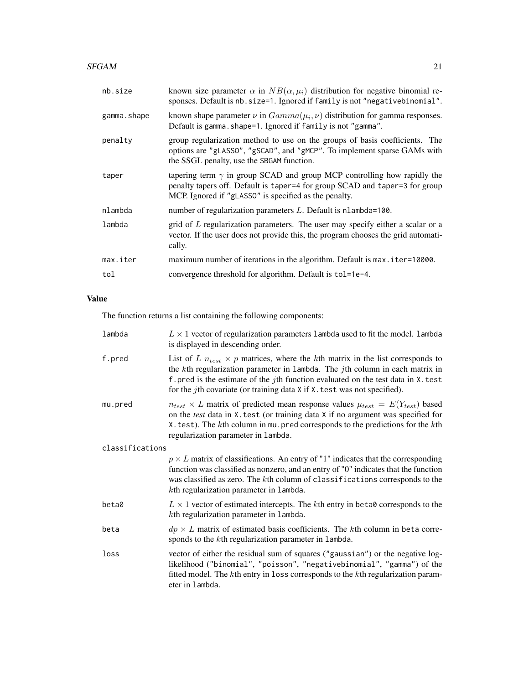#### $SFGAM$  21

| nb.size     | known size parameter $\alpha$ in $NB(\alpha, \mu_i)$ distribution for negative binomial re-<br>sponses. Default is nb. size=1. Ignored if family is not "negativebinomial".                                            |
|-------------|------------------------------------------------------------------------------------------------------------------------------------------------------------------------------------------------------------------------|
| gamma.shape | known shape parameter $\nu$ in $Gamma(\mu_i, \nu)$ distribution for gamma responses.<br>Default is gamma.shape=1. Ignored if family is not "gamma".                                                                    |
| penalty     | group regularization method to use on the groups of basis coefficients. The<br>options are "gLASSO", "gSCAD", and "gMCP". To implement sparse GAMs with<br>the SSGL penalty, use the SBGAM function.                   |
| taper       | tapering term $\gamma$ in group SCAD and group MCP controlling how rapidly the<br>penalty tapers off. Default is taper=4 for group SCAD and taper=3 for group<br>MCP. Ignored if "gLASSO" is specified as the penalty. |
| nlambda     | number of regularization parameters $L$ . Default is nlambda=100.                                                                                                                                                      |
| lambda      | grid of $L$ regularization parameters. The user may specify either a scalar or a<br>vector. If the user does not provide this, the program chooses the grid automati-<br>cally.                                        |
| max.iter    | maximum number of iterations in the algorithm. Default is max. iter=10000.                                                                                                                                             |
| tol         | convergence threshold for algorithm. Default is tol=1e-4.                                                                                                                                                              |
|             |                                                                                                                                                                                                                        |

# Value

The function returns a list containing the following components:

| lambda          | $L \times 1$ vector of regularization parameters 1 ambda used to fit the model. 1 ambda<br>is displayed in descending order.                                                                                                                                                                                                                                      |  |
|-----------------|-------------------------------------------------------------------------------------------------------------------------------------------------------------------------------------------------------------------------------------------------------------------------------------------------------------------------------------------------------------------|--|
| f.pred          | List of L $n_{test} \times p$ matrices, where the kth matrix in the list corresponds to<br>the $k$ th regularization parameter in lambda. The $j$ th column in each matrix in<br>f. pred is the estimate of the <i>j</i> th function evaluated on the test data in $X$ . test<br>for the <i>j</i> th covariate (or training data X if X. test was not specified). |  |
| mu.pred         | $n_{test} \times L$ matrix of predicted mean response values $\mu_{test} = E(Y_{test})$ based<br>on the <i>test</i> data in X. test (or training data X if no argument was specified for<br>$X.$ test). The $k$ th column in mu. pred corresponds to the predictions for the $k$ th<br>regularization parameter in lambda.                                        |  |
| classifications |                                                                                                                                                                                                                                                                                                                                                                   |  |
|                 | $p \times L$ matrix of classifications. An entry of "1" indicates that the corresponding<br>function was classified as nonzero, and an entry of "0" indicates that the function<br>was classified as zero. The kth column of classifications corresponds to the<br>$k$ th regularization parameter in lambda.                                                     |  |
| beta0           | $L \times 1$ vector of estimated intercepts. The kth entry in beta0 corresponds to the<br>$k$ th regularization parameter in $l$ ambda.                                                                                                                                                                                                                           |  |
| beta            | $dp \times L$ matrix of estimated basis coefficients. The kth column in beta corre-<br>sponds to the kth regularization parameter in lambda.                                                                                                                                                                                                                      |  |
| loss            | vector of either the residual sum of squares ("gaussian") or the negative log-<br>likelihood ("binomial", "poisson", "negativebinomial", "gamma") of the<br>fitted model. The $k$ th entry in loss corresponds to the $k$ th regularization param-<br>eter in lambda.                                                                                             |  |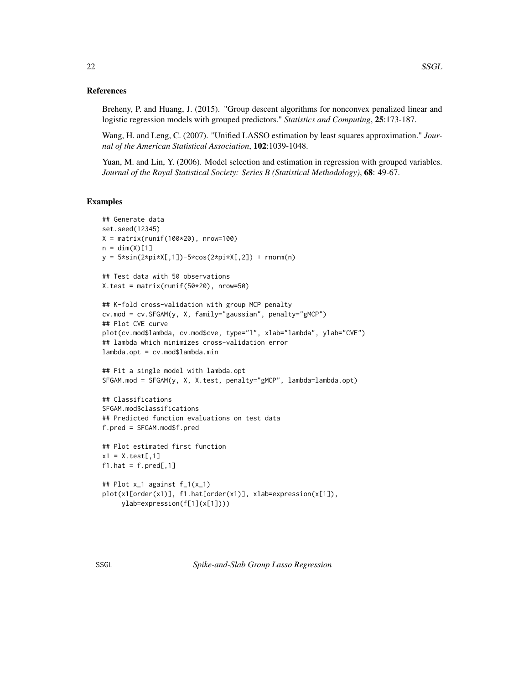#### <span id="page-21-0"></span>References

Breheny, P. and Huang, J. (2015). "Group descent algorithms for nonconvex penalized linear and logistic regression models with grouped predictors." *Statistics and Computing*, 25:173-187.

Wang, H. and Leng, C. (2007). "Unified LASSO estimation by least squares approximation." *Journal of the American Statistical Association*, 102:1039-1048.

Yuan, M. and Lin, Y. (2006). Model selection and estimation in regression with grouped variables. *Journal of the Royal Statistical Society: Series B (Statistical Methodology)*, 68: 49-67.

```
## Generate data
set.seed(12345)
X = matrix(runit(100*20), nrow=100)n = \dim(X)[1]y = 5*sin(2*pi*XL,1]) - 5*cos(2*pi*XL,2]) + rnorm(n)## Test data with 50 observations
X.test = matrix(runif(50*20), nrow=50)
## K-fold cross-validation with group MCP penalty
cv.mod = cv.SFGAM(y, X, family="gaussian", penalty="gMCP")
## Plot CVE curve
plot(cv.mod$lambda, cv.mod$cve, type="l", xlab="lambda", ylab="CVE")
## lambda which minimizes cross-validation error
lambda.opt = cv.mod$lambda.min
## Fit a single model with lambda.opt
SFGAM.mod = SFGAM(y, X, X.test, penalty="gMCP", lambda=lambda.opt)
## Classifications
SFGAM.mod$classifications
## Predicted function evaluations on test data
f.pred = SFGAM.mod$f.pred
## Plot estimated first function
x1 = X.test[, 1]f1.hat = f.pred[, 1]## Plot x_1 against f_1(x_1)
plot(x1[order(x1)], f1.hat[order(x1)], xlab=expression(x[1]),
     ylab=expression(f[1](x[1])))
```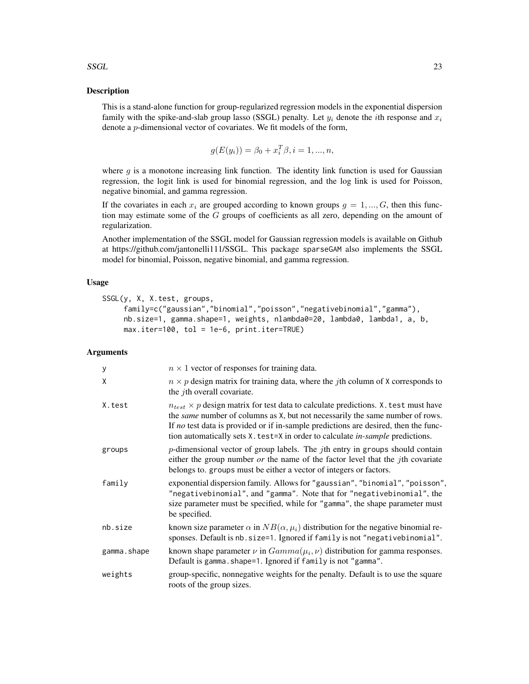#### $SSGL$  23

#### Description

This is a stand-alone function for group-regularized regression models in the exponential dispersion family with the spike-and-slab group lasso (SSGL) penalty. Let  $y_i$  denote the *i*th response and  $x_i$ denote a p-dimensional vector of covariates. We fit models of the form,

$$
g(E(y_i)) = \beta_0 + x_i^T \beta, i = 1, ..., n,
$$

where  $g$  is a monotone increasing link function. The identity link function is used for Gaussian regression, the logit link is used for binomial regression, and the log link is used for Poisson, negative binomial, and gamma regression.

If the covariates in each  $x_i$  are grouped according to known groups  $g = 1, ..., G$ , then this function may estimate some of the  $G$  groups of coefficients as all zero, depending on the amount of regularization.

Another implementation of the SSGL model for Gaussian regression models is available on Github at https://github.com/jantonelli111/SSGL. This package sparseGAM also implements the SSGL model for binomial, Poisson, negative binomial, and gamma regression.

#### Usage

```
SSGL(y, X, X.test, groups,
     family=c("gaussian","binomial","poisson","negativebinomial","gamma"),
     nb.size=1, gamma.shape=1, weights, nlambda0=20, lambda0, lambda1, a, b,
     max.iter=100, tol = 1e-6, print.iter=TRUE)
```

| y           | $n \times 1$ vector of responses for training data.                                                                                                                                                                                                                                                                                                          |
|-------------|--------------------------------------------------------------------------------------------------------------------------------------------------------------------------------------------------------------------------------------------------------------------------------------------------------------------------------------------------------------|
| X           | $n \times p$ design matrix for training data, where the <i>j</i> th column of X corresponds to<br>the <i>j</i> th overall covariate.                                                                                                                                                                                                                         |
| X.test      | $n_{test} \times p$ design matrix for test data to calculate predictions. X. test must have<br>the <i>same</i> number of columns as X, but not necessarily the same number of rows.<br>If no test data is provided or if in-sample predictions are desired, then the func-<br>tion automatically sets X. test=X in order to calculate in-sample predictions. |
| groups      | $p$ -dimensional vector of group labels. The <i>j</i> th entry in groups should contain<br>either the group number $or$ the name of the factor level that the jth covariate<br>belongs to. groups must be either a vector of integers or factors.                                                                                                            |
| family      | exponential dispersion family. Allows for "gaussian", "binomial", "poisson",<br>"negativebinomial", and "gamma". Note that for "negativebinomial", the<br>size parameter must be specified, while for "gamma", the shape parameter must<br>be specified.                                                                                                     |
| nb.size     | known size parameter $\alpha$ in $NB(\alpha, \mu_i)$ distribution for the negative binomial re-<br>sponses. Default is nb. size=1. Ignored if family is not "negativebinomial".                                                                                                                                                                              |
| gamma.shape | known shape parameter $\nu$ in $Gamma(\mu_i, \nu)$ distribution for gamma responses.<br>Default is gamma.shape=1. Ignored if family is not "gamma".                                                                                                                                                                                                          |
| weights     | group-specific, nonnegative weights for the penalty. Default is to use the square<br>roots of the group sizes.                                                                                                                                                                                                                                               |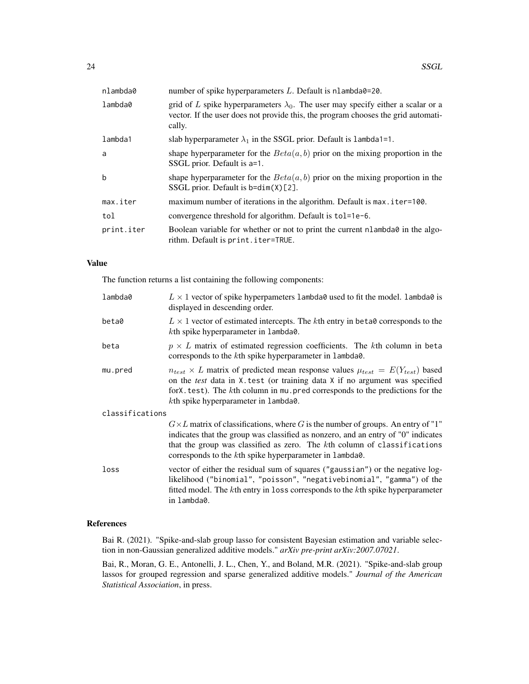| nlambda0     | number of spike hyperparameters $L$ . Default is nlambda0=20.                                                                                                                          |
|--------------|----------------------------------------------------------------------------------------------------------------------------------------------------------------------------------------|
| lambda0      | grid of L spike hyperparameters $\lambda_0$ . The user may specify either a scalar or a<br>vector. If the user does not provide this, the program chooses the grid automati-<br>cally. |
| lambda1      | slab hyperparameter $\lambda_1$ in the SSGL prior. Default is lambda1=1.                                                                                                               |
| a            | shape hyperparameter for the $Beta(a, b)$ prior on the mixing proportion in the<br>SSGL prior. Default is a=1.                                                                         |
| <sub>b</sub> | shape hyperparameter for the $Beta(a, b)$ prior on the mixing proportion in the<br>SSGL prior. Default is $b = dim(X)[2]$ .                                                            |
| max.iter     | maximum number of iterations in the algorithm. Default is max. iter=100.                                                                                                               |
| tol          | convergence threshold for algorithm. Default is tol=1e-6.                                                                                                                              |
| print.iter   | Boolean variable for whether or not to print the current nlambda0 in the algo-<br>rithm. Default is print. iter=TRUE.                                                                  |

# Value

The function returns a list containing the following components:

| lambda0         | $L \times 1$ vector of spike hyperpameters lambda0 used to fit the model. lambda0 is<br>displayed in descending order.                                                                                                                                                                                                        |  |
|-----------------|-------------------------------------------------------------------------------------------------------------------------------------------------------------------------------------------------------------------------------------------------------------------------------------------------------------------------------|--|
| beta0           | $L \times 1$ vector of estimated intercepts. The kth entry in beta0 corresponds to the<br>$k$ th spike hyperparameter in $l$ ambda $\theta$ .                                                                                                                                                                                 |  |
| beta            | $p \times L$ matrix of estimated regression coefficients. The kth column in beta<br>corresponds to the kth spike hyperparameter in lambda0.                                                                                                                                                                                   |  |
| mu.pred         | $n_{test} \times L$ matrix of predicted mean response values $\mu_{test} = E(Y_{test})$ based<br>on the test data in X. test (or training data X if no argument was specified<br>for $X$ . test). The $k$ th column in $mu$ . pred corresponds to the predictions for the<br>kth spike hyperparameter in $l$ ambda $\theta$ . |  |
| classifications |                                                                                                                                                                                                                                                                                                                               |  |
|                 | $G\times L$ matrix of classifications, where G is the number of groups. An entry of "1"<br>indicates that the group was classified as nonzero, and an entry of "0" indicates<br>that the group was classified as zero. The kth column of classifications<br>corresponds to the kth spike hyperparameter in lambda0.           |  |
| loss            | vector of either the residual sum of squares ("gaussian") or the negative log-<br>likelihood ("binomial", "poisson", "negativebinomial", "gamma") of the<br>fitted model. The $k$ th entry in loss corresponds to the $k$ th spike hyperparameter<br>in lambda0.                                                              |  |

#### References

Bai R. (2021). "Spike-and-slab group lasso for consistent Bayesian estimation and variable selection in non-Gaussian generalized additive models." *arXiv pre-print arXiv:2007.07021*.

Bai, R., Moran, G. E., Antonelli, J. L., Chen, Y., and Boland, M.R. (2021). "Spike-and-slab group lassos for grouped regression and sparse generalized additive models." *Journal of the American Statistical Association*, in press.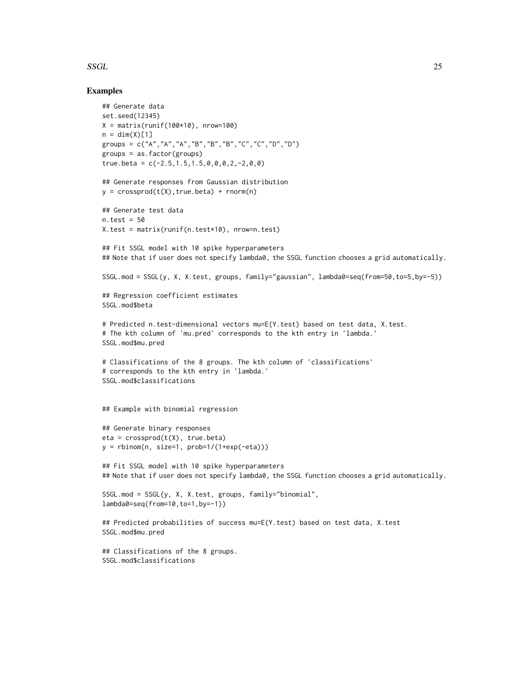#### $SSGL$  25

```
## Generate data
set.seed(12345)
X = matrix(runit(100*10), nrow=100)n = \dim(X)\lceil 1 \rceilgroups = c("A","A","A","B","B","B","C","C","D","D")
groups = as.factor(groups)
true.beta = c(-2.5, 1.5, 1.5, 0, 0, 0, 2, -2, 0, 0)## Generate responses from Gaussian distribution
y = crossprod(t(X), true, beta) + rnorm(n)## Generate test data
n.test = 50X.test = matrix(runif(n.test*10), nrow=n.test)
## Fit SSGL model with 10 spike hyperparameters
## Note that if user does not specify lambda0, the SSGL function chooses a grid automatically.
SSGL.mod = SSGL(y, X, X.test, groups, family="gaussian", lambda0=seq(from=50,to=5,by=-5))
## Regression coefficient estimates
SSGL.mod$beta
# Predicted n.test-dimensional vectors mu=E(Y.test) based on test data, X.test.
# The kth column of 'mu.pred' corresponds to the kth entry in 'lambda.'
SSGL.mod$mu.pred
# Classifications of the 8 groups. The kth column of 'classifications'
# corresponds to the kth entry in 'lambda.'
SSGL.mod$classifications
## Example with binomial regression
## Generate binary responses
eta = crossprod(t(X), true. beta)y = rbinom(n, size=1, prob=1/(1+exp(-eta)))
## Fit SSGL model with 10 spike hyperparameters
## Note that if user does not specify lambda0, the SSGL function chooses a grid automatically.
SSGL.mod = SSGL(y, X, X.test, groups, family="binomial",
lambda0=seq(from=10,to=1,by=-1))
## Predicted probabilities of success mu=E(Y.test) based on test data, X.test
SSGL.mod$mu.pred
## Classifications of the 8 groups.
SSGL.mod$classifications
```